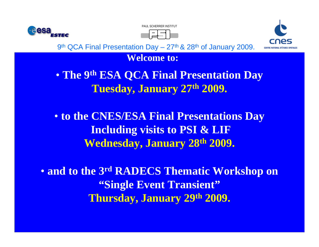





**Welcome to:**

**catholic de Louis Catholic de Louis Catholic de Louis Catholic de Louis Catholic de Louis Catholic de Louis C**<br>1980 - Louis Catholic de Louis Catholic de Louis Catholic de Louis Catholic de Louis Catholic de Louis Catholi **Centre de Recherches du Cyclotron,** • **The 9th ESA QCA Final Presentation Day Tuesday, January 27th 2009.**

> • to the CNES/ESA Final Presentations Day **Including visits to PSI & LIF Wednesday, January 28th 2009.**

• **and to the 3rd RADECS Thematic Workshop on "Single Event Transient" Thursday, January 29th 2009.**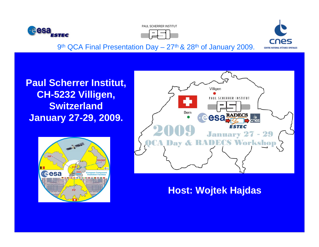





**Paul Scherrer Institut,** I **Centre de Recherches du Cyclotron, CH-5232 Villigen, Louis Switzerland January 23-25, 2007. January 27-29, 2009.**





### **Host: Wojtek Hajdas**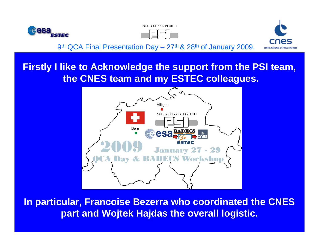![](_page_2_Picture_0.jpeg)

![](_page_2_Picture_1.jpeg)

![](_page_2_Picture_2.jpeg)

#### UNIVERSITÉ <u>CATHOLIQUE DE LOUVAIN, que de la pr</u>imera de Louvain, que de la proporcion de Louvain, que de la proporcion de Louvain, que de la proporcion de la proporcion de Louvain, que de la proporcion de Louvain, que de **Firstly I like to Acknowledge the support from the PSI team, the CNES team and my ESTEC colleagues.**

![](_page_2_Figure_5.jpeg)

**In particular, Francoise Bezerra who coordinated the CNES part and Wojtek Hajdas the overall logistic.**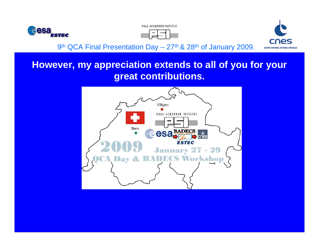![](_page_3_Picture_0.jpeg)

![](_page_3_Picture_1.jpeg)

![](_page_3_Picture_2.jpeg)

# **However, my appreciation extends to all of you for your great contributions.**

![](_page_3_Figure_5.jpeg)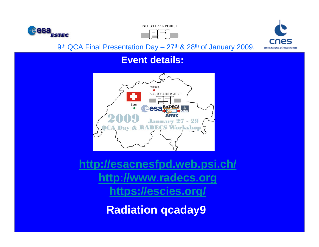![](_page_4_Picture_0.jpeg)

PAUL SCHERRER INSTITUT

![](_page_4_Picture_2.jpeg)

![](_page_4_Picture_3.jpeg)

9<sup>th</sup> QCA Final Presentation Day – 27<sup>th</sup> & 28<sup>th</sup> of January 2009.

### **Event details:**

![](_page_4_Figure_6.jpeg)

**[http://esacnesfpd.web.psi.ch](http://esacnesfpd.web.psi.ch/)/ [http://www.radecs.org](http://www.radecs.org/) <https://escies.org/>**

**Radiation qcaday9**